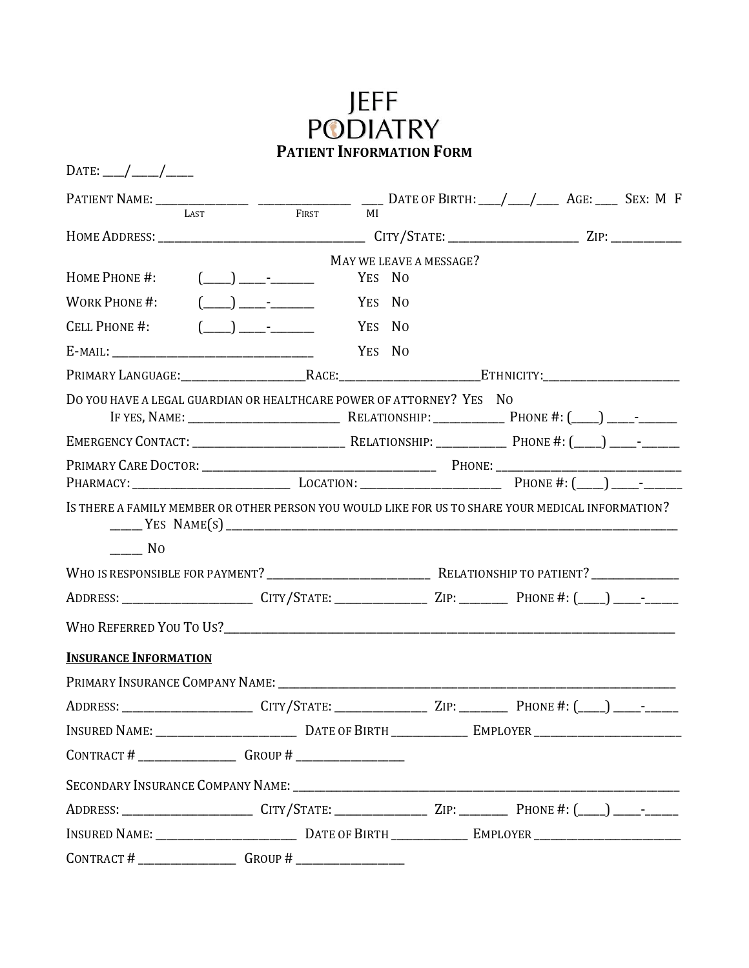## JEFF<br>PODIATRY<br>Patient Information Form

| DATE: ___/ ____/ _____                                                                                                                                                            |                                                         |        |                         |  |  |
|-----------------------------------------------------------------------------------------------------------------------------------------------------------------------------------|---------------------------------------------------------|--------|-------------------------|--|--|
| PATIENT NAME: $\frac{1}{\text{LAST}}$ $\frac{1}{\text{LAST}}$ $\frac{1}{\text{RIST}}$ $\frac{1}{\text{M}}$ DATE OF BIRTH: $\frac{1}{\text{M}}$ AGE: $\frac{1}{\text{M}}$ SEX: M F |                                                         |        |                         |  |  |
|                                                                                                                                                                                   |                                                         |        |                         |  |  |
|                                                                                                                                                                                   |                                                         |        | MAY WE LEAVE A MESSAGE? |  |  |
| HOME PHONE #:                                                                                                                                                                     | $\begin{array}{c} \boxed{\qquad \qquad }\\ \end{array}$ | YES NO |                         |  |  |
| WORK PHONE #:                                                                                                                                                                     | $(\_\_)$ $\_\_$                                         | YES NO |                         |  |  |
| CELL PHONE #:                                                                                                                                                                     | $(\_\_)$ $\_\_$                                         | YES NO |                         |  |  |
|                                                                                                                                                                                   |                                                         | YES NO |                         |  |  |
|                                                                                                                                                                                   |                                                         |        |                         |  |  |
| DO YOU HAVE A LEGAL GUARDIAN OR HEALTHCARE POWER OF ATTORNEY? YES NO                                                                                                              |                                                         |        |                         |  |  |
|                                                                                                                                                                                   |                                                         |        |                         |  |  |
|                                                                                                                                                                                   |                                                         |        |                         |  |  |
|                                                                                                                                                                                   |                                                         |        |                         |  |  |
| IS THERE A FAMILY MEMBER OR OTHER PERSON YOU WOULD LIKE FOR US TO SHARE YOUR MEDICAL INFORMATION?                                                                                 |                                                         |        |                         |  |  |
| N <sub>O</sub>                                                                                                                                                                    |                                                         |        |                         |  |  |
|                                                                                                                                                                                   |                                                         |        |                         |  |  |
| ADDRESS: __________________________CITY/STATE: _________________ZIP: ____________PHONE #: (____) ____-_______                                                                     |                                                         |        |                         |  |  |
|                                                                                                                                                                                   |                                                         |        |                         |  |  |
| <b>INSURANCE INFORMATION</b>                                                                                                                                                      |                                                         |        |                         |  |  |
|                                                                                                                                                                                   |                                                         |        |                         |  |  |
|                                                                                                                                                                                   |                                                         |        |                         |  |  |
|                                                                                                                                                                                   |                                                         |        |                         |  |  |
| CONTRACT # $\frac{1}{\sqrt{1-\frac{1}{2}} \cdot \frac{1}{2}}$ GROUP # $\frac{1}{\sqrt{1-\frac{1}{2}} \cdot \frac{1}{2}}$                                                          |                                                         |        |                         |  |  |
|                                                                                                                                                                                   |                                                         |        |                         |  |  |
| ADDRESS: ________________________________CITY/STATE: _______________________ZIP: ________________PHONE #: (____) ____--_____                                                      |                                                         |        |                         |  |  |
|                                                                                                                                                                                   |                                                         |        |                         |  |  |
| CONTRACT # $\frac{1}{\sqrt{1-\frac{1}{2}}}\$ GROUP # $\frac{1}{\sqrt{1-\frac{1}{2}}}\$                                                                                            |                                                         |        |                         |  |  |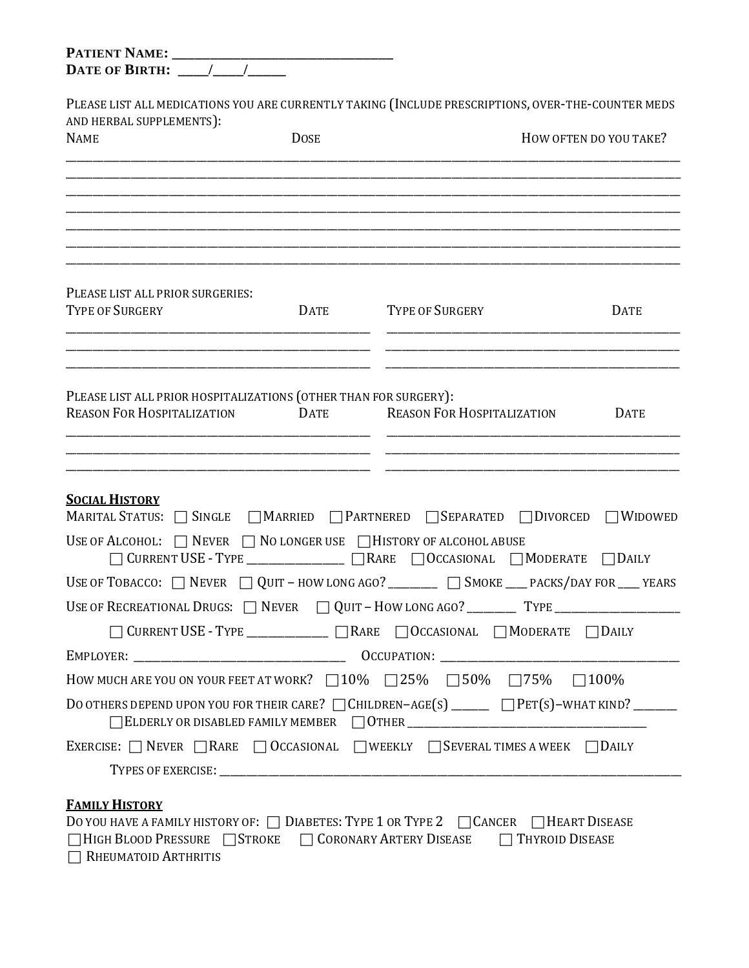| PLEASE LIST ALL MEDICATIONS YOU ARE CURRENTLY TAKING (INCLUDE PRESCRIPTIONS, OVER-THE-COUNTER MEDS    |             |                                                                                                             |                        |  |  |  |  |
|-------------------------------------------------------------------------------------------------------|-------------|-------------------------------------------------------------------------------------------------------------|------------------------|--|--|--|--|
| AND HERBAL SUPPLEMENTS):<br><b>NAME</b>                                                               | <b>DOSE</b> |                                                                                                             | HOW OFTEN DO YOU TAKE? |  |  |  |  |
|                                                                                                       |             |                                                                                                             |                        |  |  |  |  |
|                                                                                                       |             |                                                                                                             |                        |  |  |  |  |
|                                                                                                       |             |                                                                                                             |                        |  |  |  |  |
|                                                                                                       |             |                                                                                                             |                        |  |  |  |  |
| PLEASE LIST ALL PRIOR SURGERIES:<br><b>TYPE OF SURGERY</b>                                            | DATE        | TYPE OF SURGERY                                                                                             | <b>DATE</b>            |  |  |  |  |
|                                                                                                       |             |                                                                                                             |                        |  |  |  |  |
| PLEASE LIST ALL PRIOR HOSPITALIZATIONS (OTHER THAN FOR SURGERY):<br><b>REASON FOR HOSPITALIZATION</b> | <b>DATE</b> | <b>REASON FOR HOSPITALIZATION</b>                                                                           | <b>DATE</b>            |  |  |  |  |
| <b>SOCIAL HISTORY</b>                                                                                 |             |                                                                                                             |                        |  |  |  |  |
|                                                                                                       |             | MARITAL STATUS: SINGLE MARRIED PARTNERED SEPARATED DIVORCED                                                 | $\Box$ WIDOWED         |  |  |  |  |
| USE OF ALCOHOL: $\Box$ Never $\Box$ No longer use $\Box$ History of alcohol abuse                     |             | CURRENT USE - TYPE _______________ _ _ _ RARE _ _ OCCASIONAL _ _ MODERATE _ _ _ DAILY                       |                        |  |  |  |  |
|                                                                                                       |             | USE OF TOBACCO: $\Box$ NEVER $\Box$ QUIT - HOW LONG AGO? ________ $\Box$ SMOKE ___ PACKS/DAY FOR ___ YEARS  |                        |  |  |  |  |
|                                                                                                       |             |                                                                                                             |                        |  |  |  |  |
|                                                                                                       |             | □ CURRENT USE - TYPE ____________ □ RARE □ OCCASIONAL □ MODERATE □ DAILY                                    |                        |  |  |  |  |
|                                                                                                       |             |                                                                                                             |                        |  |  |  |  |
|                                                                                                       |             | HOW MUCH ARE YOU ON YOUR FEET AT WORK? $\Box$ 10% $\Box$ 25% $\Box$ 50% $\Box$ 75% $\Box$ 100%              |                        |  |  |  |  |
|                                                                                                       |             | DO OTHERS DEPEND UPON YOU FOR THEIR CARE? $\Box$ CHILDREN-AGE(S) ______ $\Box$ PET(S)-WHAT KIND? _____      |                        |  |  |  |  |
|                                                                                                       |             |                                                                                                             |                        |  |  |  |  |
|                                                                                                       |             | EXERCISE: $\Box$ NEVER $\Box$ RARE $\Box$ OCCASIONAL $\Box$ WEEKLY $\Box$ SEVERAL TIMES A WEEK $\Box$ DAILY |                        |  |  |  |  |

| $D$ v 100 m. (primini motokt 01.     Dinbitio, TTL I OK TTL 1 =     QINGIN       HIMKI DIJIM |                        |
|----------------------------------------------------------------------------------------------|------------------------|
| □ HIGH BLOOD PRESSURE STROKE □ CORONARY ARTERY DISEASE                                       | $\Box$ Thyroid Disease |
| $\Box$ RHEUMATOID ARTHRITIS                                                                  |                        |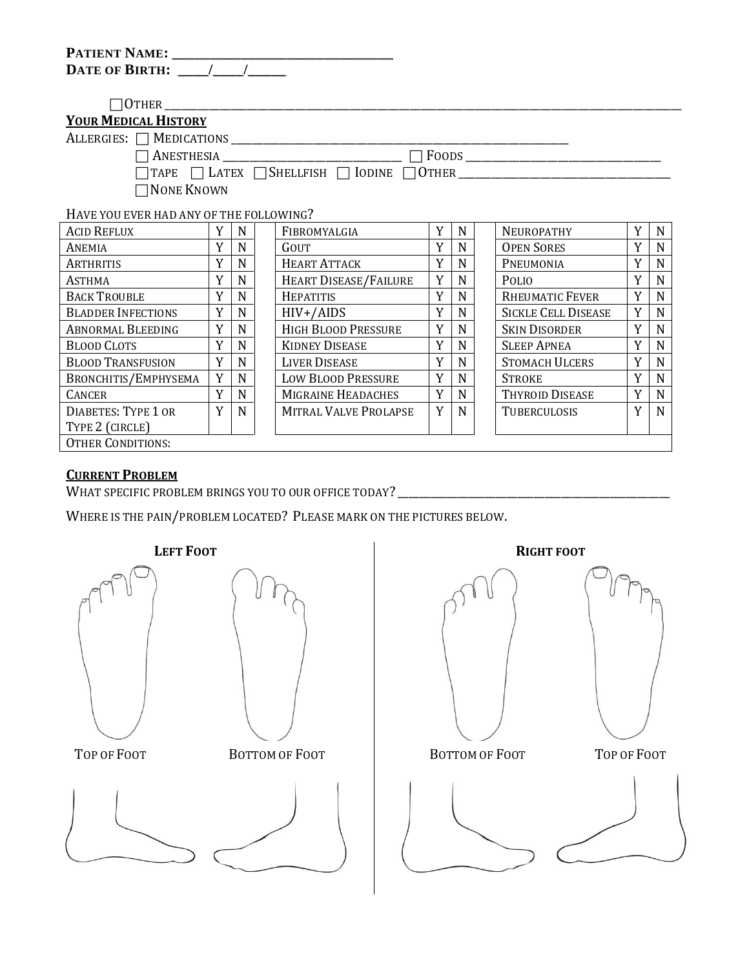| <b>PATIENT NAME:</b>  |  |
|-----------------------|--|
| <b>DATE OF BIRTH:</b> |  |

OTHER \_\_\_\_\_\_\_\_\_\_\_\_\_\_\_\_\_\_\_\_\_\_\_\_\_\_\_\_\_\_\_\_\_\_\_\_\_\_\_\_\_\_\_\_\_\_\_\_\_\_\_\_\_\_\_\_\_\_\_\_\_\_\_\_\_\_\_\_\_\_\_\_\_\_\_\_\_\_\_\_\_\_\_\_\_\_\_\_\_\_\_\_\_\_\_

## **YOUR MEDICAL HISTORY**

ALLERGIES: MEDICATIONS \_\_\_\_\_\_\_\_\_\_\_\_\_\_\_\_\_\_\_\_\_\_\_\_\_\_\_\_\_\_\_\_\_\_\_\_\_\_\_\_\_\_\_\_\_\_\_\_\_\_\_\_\_\_\_\_\_\_\_\_\_\_

□ ANESTHESIA \_\_\_\_\_\_\_\_\_\_\_\_\_\_\_\_\_\_\_\_\_\_\_\_\_\_\_\_\_ □ FOODS \_\_\_\_\_\_\_\_\_\_\_\_\_\_\_\_\_\_\_\_\_\_\_\_\_\_\_\_\_\_\_\_\_\_

 $\Box$ TAPE  $\Box$  LATEX  $\Box$ SHELLFISH  $\Box$  IODINE  $\Box$ OTHER

**NONE KNOWN** 

HAVE YOU EVER HAD ANY OF THE FOLLOWING?

| <b>ACID REFLUX</b>         |   | N | FIBROMYALGIA                 | Y | N | NEUROPATHY                 | $\mathbf{v}$ | N |
|----------------------------|---|---|------------------------------|---|---|----------------------------|--------------|---|
| ANEMIA                     |   | N | GOUT                         | Y | N | <b>OPEN SORES</b>          | Y            | N |
| ARTHRITIS                  | Y | N | <b>HEART ATTACK</b>          | Y | N | PNEUMONIA                  | Y            | N |
| <b>ASTHMA</b>              | Y | N | <b>HEART DISEASE/FAILURE</b> | Y | N | <b>POLIO</b>               | Y            | N |
| <b>BACK TROUBLE</b>        | Y | N | <b>HEPATITIS</b>             | Y | N | <b>RHEUMATIC FEVER</b>     | Y            | N |
| <b>BLADDER INFECTIONS</b>  | v | N | HIV+/AIDS                    | Y | N | <b>SICKLE CELL DISEASE</b> | Y            | N |
| <b>ABNORMAL BLEEDING</b>   | Y | N | <b>HIGH BLOOD PRESSURE</b>   | Y | N | <b>SKIN DISORDER</b>       | $\mathbf{v}$ | N |
| <b>BLOOD CLOTS</b>         | v | N | <b>KIDNEY DISEASE</b>        | Y | N | <b>SLEEP APNEA</b>         | Y            | N |
| <b>BLOOD TRANSFUSION</b>   | v | N | <b>LIVER DISEASE</b>         | Y | N | <b>STOMACH ULCERS</b>      | v            | N |
| BRONCHITIS/EMPHYSEMA       | Y | N | <b>LOW BLOOD PRESSURE</b>    | Y | N | <b>STROKE</b>              | Y            | N |
| <b>CANCER</b>              | Y | N | MIGRAINE HEADACHES           | Y | N | THYROID DISEASE            | Y            | N |
| <b>DIABETES: TYPE 1 OR</b> | v | N | <b>MITRAL VALVE PROLAPSE</b> | Y | N | <b>TUBERCULOSIS</b>        | v            | N |
| TYPE 2 (CIRCLE)            |   |   |                              |   |   |                            |              |   |
| <b>OTHER CONDITIONS:</b>   |   |   |                              |   |   |                            |              |   |

## **CURRENT PROBLEM**

WHAT SPECIFIC PROBLEM BRINGS YOU TO OUR OFFICE TODAY? \_\_\_\_\_\_\_\_\_\_\_\_\_\_\_\_\_\_\_\_\_\_\_\_\_\_\_\_\_\_\_\_\_\_\_\_\_\_\_\_\_\_\_\_\_\_\_\_\_\_

WHERE IS THE PAIN/PROBLEM LOCATED? PLEASE MARK ON THE PICTURES BELOW.